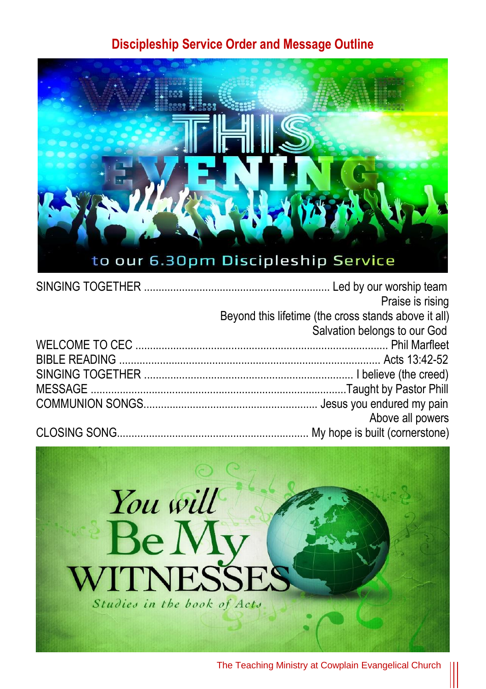## **Discipleship Service Order and Message Outline**



| Praise is rising                                     |
|------------------------------------------------------|
| Beyond this lifetime (the cross stands above it all) |
| Salvation belongs to our God                         |
|                                                      |
|                                                      |
|                                                      |
|                                                      |
|                                                      |
| Above all powers                                     |
|                                                      |

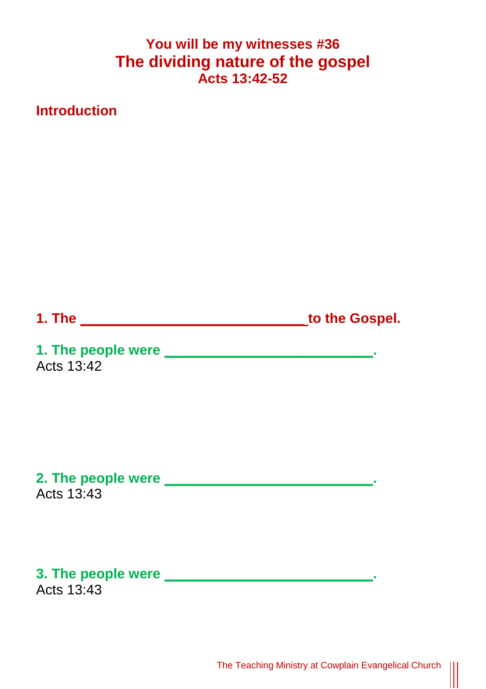## **You will be my witnesses #36 The dividing nature of the gospel Acts 13:42-52**

**Introduction**

**1. The \_\_\_\_\_\_\_\_\_\_\_\_\_\_\_\_\_\_\_\_\_\_\_\_\_\_\_\_\_ to the Gospel.**

**1. The people were \_\_\_\_\_\_\_\_\_\_\_\_\_\_\_\_\_\_\_\_\_\_\_\_\_\_\_.** Acts 13:42

**2. The people were \_\_\_\_\_\_\_\_\_\_\_\_\_\_\_\_\_\_\_\_\_\_\_\_\_\_\_.** Acts 13:43

**3. The people were \_\_\_\_\_\_\_\_\_\_\_\_\_\_\_\_\_\_\_\_\_\_\_\_\_\_\_.** Acts  $13.43$ 

 $\parallel$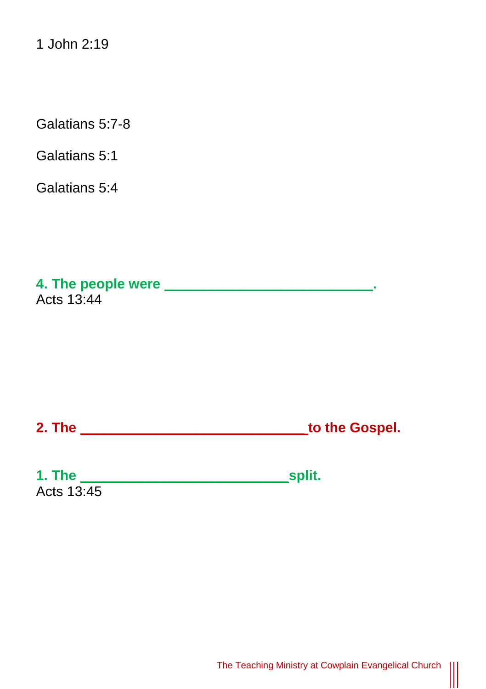1 John 2:19

Galatians 5:7-8

Galatians 5:1

Galatians 5:4

**4. The people were \_\_\_\_\_\_\_\_\_\_\_\_\_\_\_\_\_\_\_\_\_\_\_\_\_\_\_.** Acts 13:44

**2. The \_\_\_\_\_\_\_\_\_\_\_\_\_\_\_\_\_\_\_\_\_\_\_\_\_\_\_\_\_ to the Gospel.**

**1. The \_\_\_\_\_\_\_\_\_\_\_\_\_\_\_\_\_\_\_\_\_\_\_\_\_\_\_split.**  Acts 13:45

The Teaching Ministry at Cowplain Evangelical Church

 $\parallel$